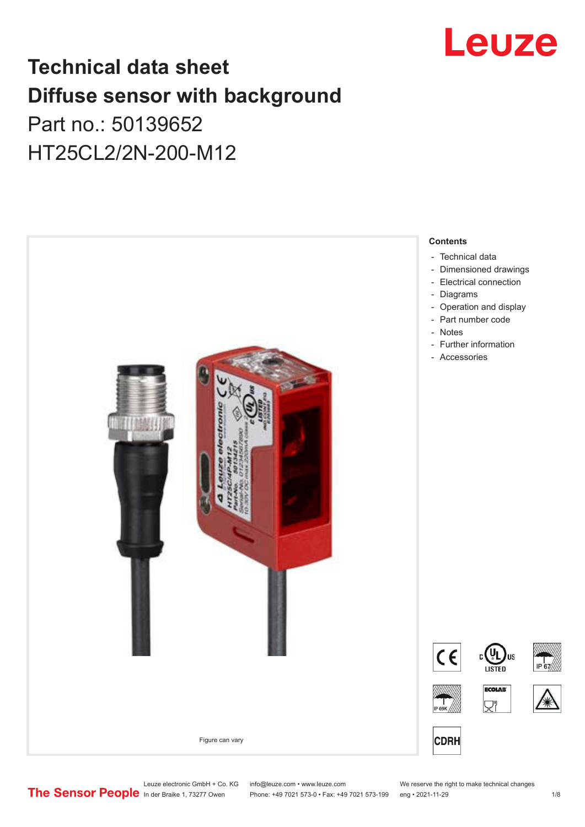

## **Technical data sheet Diffuse sensor with background**  Part no.: 50139652 HT25CL2/2N-200-M12



Leuze electronic GmbH + Co. KG info@leuze.com • www.leuze.com We reserve the right to make technical changes<br>
The Sensor People in der Braike 1, 73277 Owen Phone: +49 7021 573-0 • Fax: +49 7021 573-199 eng • 2021-11-29

Phone: +49 7021 573-0 • Fax: +49 7021 573-199 eng • 2021-11-29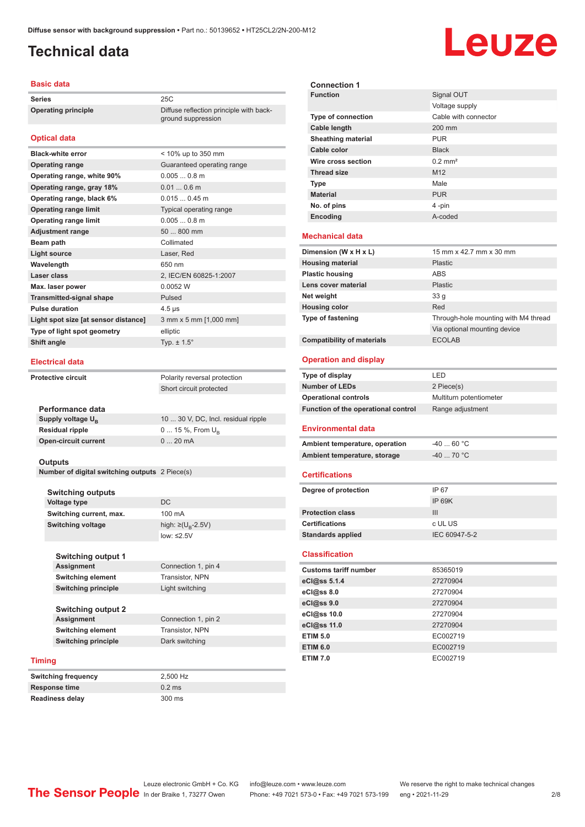ground suppression

### <span id="page-1-0"></span>**Technical data**

## Leuze

#### **Basic data**

**Series** 25C **Operating principle** Diffuse reflection principle with back-

### **Optical data**

| <b>Black-white error</b>             | < 10% up to 350 mm         |
|--------------------------------------|----------------------------|
| <b>Operating range</b>               | Guaranteed operating range |
| Operating range, white 90%           | $0.0050.8$ m               |
| Operating range, gray 18%            | $0.010.6$ m                |
| Operating range, black 6%            | $0.0150.45$ m              |
| <b>Operating range limit</b>         | Typical operating range    |
| <b>Operating range limit</b>         | $0.0050.8$ m               |
| <b>Adjustment range</b>              | 50  800 mm                 |
| Beam path                            | Collimated                 |
| <b>Light source</b>                  | Laser, Red                 |
| Wavelength                           | 650 nm                     |
| Laser class                          | 2, IEC/EN 60825-1:2007     |
| Max. laser power                     | 0.0052 W                   |
| <b>Transmitted-signal shape</b>      | Pulsed                     |
| <b>Pulse duration</b>                | $4.5 \,\mathrm{\mu s}$     |
| Light spot size [at sensor distance] | 3 mm x 5 mm [1,000 mm]     |
| Type of light spot geometry          | elliptic                   |
| Shift angle                          | Typ. $\pm$ 1.5 $^{\circ}$  |
|                                      |                            |

#### **Electrical data**

**Performance data Supply voltage U<sub>B</sub>** 

**Residual ripple Open-circuit current** 

**Protective circuit** Polarity reversal protection Short circuit protected

| 10  30 V, DC, Incl. residual ripple |
|-------------------------------------|
| $0 15 \%$ , From $U_{\rm B}$        |
| $020$ mA                            |
|                                     |

#### **Outputs**

**Number of digital switching outputs** 2 Piece(s)

#### **Switching outputs**

| Voltage type             | DC.                                |
|--------------------------|------------------------------------|
| Switching current, max.  | 100 mA                             |
| <b>Switching voltage</b> | high: $\geq (U_{\text{B}} - 2.5V)$ |
|                          | low: $\leq$ 2.5V                   |
|                          |                                    |

**Connection 1, pin 4** 

**Switching output 1 Switching element** Transistor, NPN **Switching principle** Light switching

**Switching output 2 Assignment** Connection 1, pin 2 **Switching element** Transistor, NPN **Switching principle** Dark switching

#### **Timing**

| <b>Switching frequency</b> | 2.500 Hz |
|----------------------------|----------|
| Response time              | $0.2$ ms |
| <b>Readiness delay</b>     | 300 ms   |

| <b>Connection 1</b>                 |                                      |
|-------------------------------------|--------------------------------------|
| <b>Function</b>                     | Signal OUT                           |
|                                     | Voltage supply                       |
| Type of connection                  | Cable with connector                 |
| <b>Cable length</b>                 | 200 mm                               |
| <b>Sheathing material</b>           | PUR                                  |
| Cable color                         | <b>Black</b>                         |
| Wire cross section                  | $0.2$ mm <sup>2</sup>                |
| <b>Thread size</b>                  | M <sub>12</sub>                      |
| Type                                | Male                                 |
| <b>Material</b>                     | <b>PUR</b>                           |
| No. of pins                         | 4 -pin                               |
| Encoding                            | A-coded                              |
| <b>Mechanical data</b>              |                                      |
|                                     |                                      |
| Dimension (W x H x L)               | 15 mm x 42.7 mm x 30 mm              |
| <b>Housing material</b>             | Plastic                              |
| <b>Plastic housing</b>              | ABS                                  |
| Lens cover material                 | Plastic                              |
| Net weight                          | 33 <sub>g</sub>                      |
| <b>Housing color</b>                | Red                                  |
| Type of fastening                   | Through-hole mounting with M4 thread |
|                                     | Via optional mounting device         |
| <b>Compatibility of materials</b>   | <b>ECOLAB</b>                        |
| <b>Operation and display</b>        |                                      |
|                                     |                                      |
|                                     |                                      |
| Type of display                     | LED                                  |
| <b>Number of LEDs</b>               | 2 Piece(s)                           |
| <b>Operational controls</b>         | Multiturn potentiometer              |
| Function of the operational control | Range adjustment                     |
| Environmental data                  |                                      |
| Ambient temperature, operation      | $-40$ 60 °C                          |
| Ambient temperature, storage        | $-40$ 70 °C                          |
|                                     |                                      |
| <b>Certifications</b>               |                                      |
| Degree of protection                | IP 67                                |
|                                     | <b>IP 69K</b>                        |
| <b>Protection class</b>             | III                                  |
| <b>Certifications</b>               | c UL US                              |
| <b>Standards applied</b>            | IEC 60947-5-2                        |
| <b>Classification</b>               |                                      |
| <b>Customs tariff number</b>        | 85365019                             |
| eCl@ss 5.1.4                        | 27270904                             |
| eCl@ss 8.0                          | 27270904                             |
| eCl@ss 9.0                          | 27270904                             |
| eCl@ss 10.0                         | 27270904                             |
| eCl@ss 11.0                         | 27270904                             |
| <b>ETIM 5.0</b>                     | EC002719                             |
| <b>ETIM 6.0</b>                     | EC002719                             |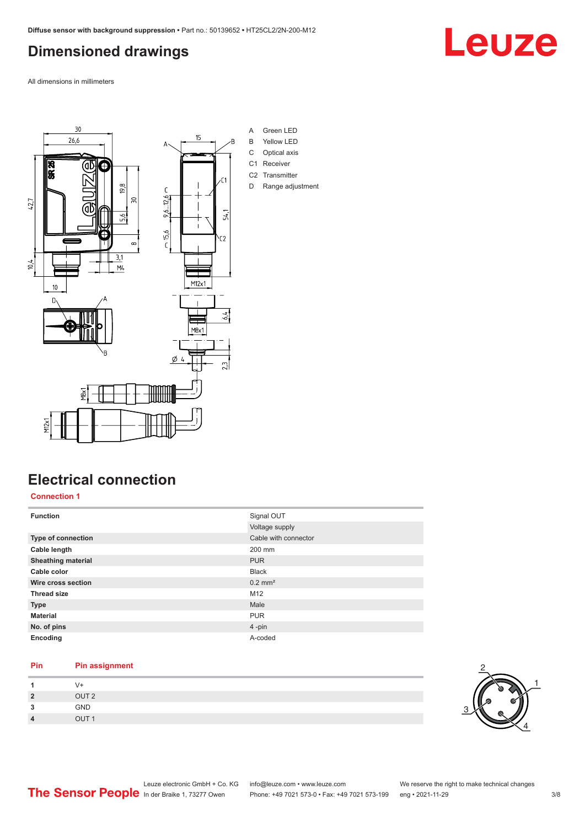### <span id="page-2-0"></span>**Dimensioned drawings**

All dimensions in millimeters



### **Electrical connection**

**Connection 1**

| <b>Function</b>           | Signal OUT            |
|---------------------------|-----------------------|
|                           | Voltage supply        |
| <b>Type of connection</b> | Cable with connector  |
| Cable length              | 200 mm                |
| <b>Sheathing material</b> | <b>PUR</b>            |
| Cable color               | <b>Black</b>          |
| Wire cross section        | $0.2$ mm <sup>2</sup> |
| <b>Thread size</b>        | M12                   |
| <b>Type</b>               | Male                  |
| <b>Material</b>           | <b>PUR</b>            |
| No. of pins               | 4-pin                 |
| Encoding                  | A-coded               |

### **Pin Pin assignment**

| $\overline{2}$         | OUT <sub>2</sub>          |
|------------------------|---------------------------|
| 3                      | GND                       |
| $\boldsymbol{\Lambda}$ | $\bigcap$ IT <sub>1</sub> |



Leuze

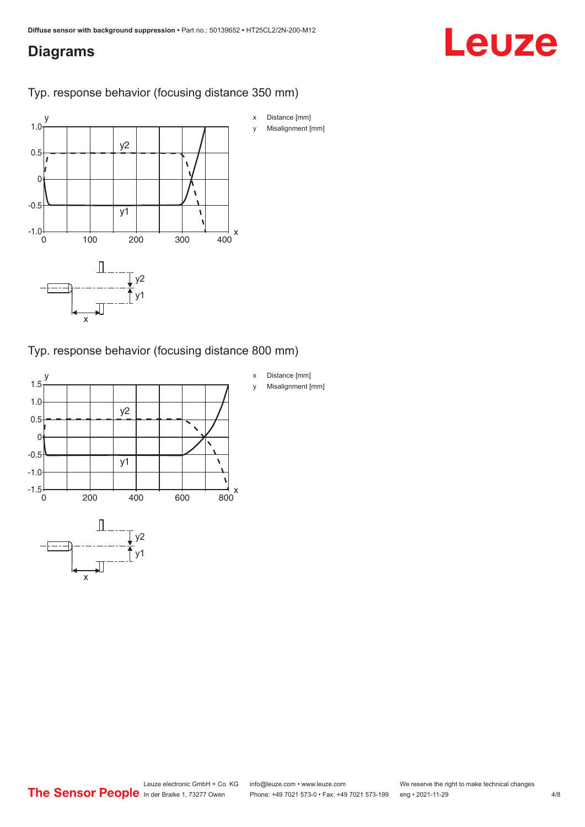### <span id="page-3-0"></span>**Diagrams**

## Leuze

Typ. response behavior (focusing distance 350 mm)



Typ. response behavior (focusing distance 800 mm)

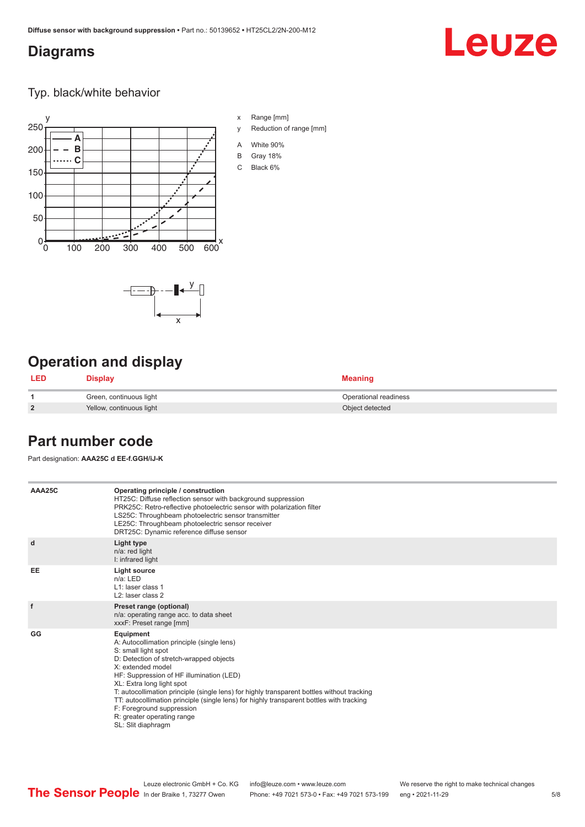x

 $-\overline{...}$   $-\overline{...}$   $-\overline{...}$ 

### <span id="page-4-0"></span>**Diagrams**

## Leuze

Typ. black/white behavior



x Range [mm]

- y Reduction of range [mm]
- A White 90%
- B Gray 18%
- C Black 6%



| <b>LED</b>     | Display                  | <b>Meaning</b>        |
|----------------|--------------------------|-----------------------|
|                | Green, continuous light  | Operational readiness |
| $\overline{2}$ | Yellow, continuous light | Object detected       |

### **Part number code**

Part designation: **AAA25C d EE-f.GGH/iJ-K**

| AAA25C | Operating principle / construction<br>HT25C: Diffuse reflection sensor with background suppression<br>PRK25C: Retro-reflective photoelectric sensor with polarization filter<br>LS25C: Throughbeam photoelectric sensor transmitter<br>LE25C: Throughbeam photoelectric sensor receiver<br>DRT25C: Dynamic reference diffuse sensor                                                                                                                                                                |
|--------|----------------------------------------------------------------------------------------------------------------------------------------------------------------------------------------------------------------------------------------------------------------------------------------------------------------------------------------------------------------------------------------------------------------------------------------------------------------------------------------------------|
| d      | Light type<br>n/a: red light<br>I: infrared light                                                                                                                                                                                                                                                                                                                                                                                                                                                  |
| EE     | Light source<br>$n/a$ : LED<br>L1: laser class 1<br>$L2$ : laser class 2                                                                                                                                                                                                                                                                                                                                                                                                                           |
| f      | Preset range (optional)<br>n/a: operating range acc. to data sheet<br>xxxF: Preset range [mm]                                                                                                                                                                                                                                                                                                                                                                                                      |
| GG     | Equipment<br>A: Autocollimation principle (single lens)<br>S: small light spot<br>D: Detection of stretch-wrapped objects<br>X: extended model<br>HF: Suppression of HF illumination (LED)<br>XL: Extra long light spot<br>T: autocollimation principle (single lens) for highly transparent bottles without tracking<br>TT: autocollimation principle (single lens) for highly transparent bottles with tracking<br>F: Foreground suppression<br>R: greater operating range<br>SL: Slit diaphragm |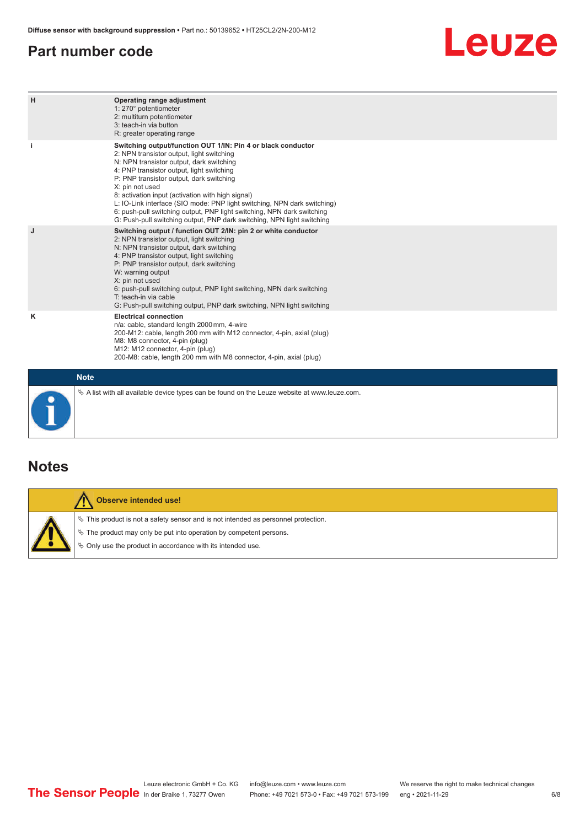### <span id="page-5-0"></span>**Part number code**

## Leuze

| H           | Operating range adjustment<br>1: 270° potentiometer<br>2: multiturn potentiometer<br>3: teach-in via button<br>R: greater operating range                                                                                                                                                                                                                                                                                                                                                                                                              |
|-------------|--------------------------------------------------------------------------------------------------------------------------------------------------------------------------------------------------------------------------------------------------------------------------------------------------------------------------------------------------------------------------------------------------------------------------------------------------------------------------------------------------------------------------------------------------------|
| j.          | Switching output/function OUT 1/IN: Pin 4 or black conductor<br>2: NPN transistor output, light switching<br>N: NPN transistor output, dark switching<br>4: PNP transistor output, light switching<br>P: PNP transistor output, dark switching<br>X: pin not used<br>8: activation input (activation with high signal)<br>L: IO-Link interface (SIO mode: PNP light switching, NPN dark switching)<br>6: push-pull switching output, PNP light switching, NPN dark switching<br>G: Push-pull switching output, PNP dark switching, NPN light switching |
| J           | Switching output / function OUT 2/IN: pin 2 or white conductor<br>2: NPN transistor output, light switching<br>N: NPN transistor output, dark switching<br>4: PNP transistor output, light switching<br>P: PNP transistor output, dark switching<br>W: warning output<br>X: pin not used<br>6: push-pull switching output, PNP light switching, NPN dark switching<br>T: teach-in via cable<br>G: Push-pull switching output, PNP dark switching, NPN light switching                                                                                  |
| ĸ           | <b>Electrical connection</b><br>n/a: cable, standard length 2000 mm, 4-wire<br>200-M12: cable, length 200 mm with M12 connector, 4-pin, axial (plug)<br>M8: M8 connector, 4-pin (plug)<br>M12: M12 connector, 4-pin (plug)<br>200-M8: cable, length 200 mm with M8 connector, 4-pin, axial (plug)                                                                                                                                                                                                                                                      |
| <b>Note</b> |                                                                                                                                                                                                                                                                                                                                                                                                                                                                                                                                                        |

### **Notes**

| Observe intended use!                                                                                                                                                                                                         |
|-------------------------------------------------------------------------------------------------------------------------------------------------------------------------------------------------------------------------------|
| $\%$ This product is not a safety sensor and is not intended as personnel protection.<br>$\%$ The product may only be put into operation by competent persons.<br>₿ Only use the product in accordance with its intended use. |

 $\%$  A list with all available device types can be found on the Leuze website at www.leuze.com.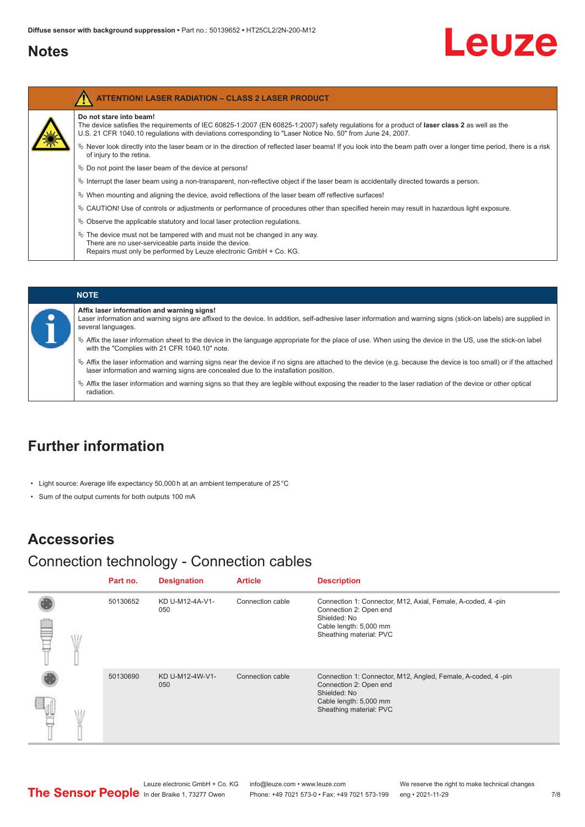### <span id="page-6-0"></span>**Notes**

# Leuze

| Do not stare into beam!                                                                                                                                                                                                                                    |
|------------------------------------------------------------------------------------------------------------------------------------------------------------------------------------------------------------------------------------------------------------|
| The device satisfies the requirements of IEC 60825-1:2007 (EN 60825-1:2007) safety regulations for a product of laser class 2 as well as the<br>U.S. 21 CFR 1040.10 regulations with deviations corresponding to "Laser Notice No. 50" from June 24, 2007. |
| Never look directly into the laser beam or in the direction of reflected laser beams! If you look into the beam path over a longer time period, there is a risk<br>of injury to the retina.                                                                |
| $\%$ Do not point the laser beam of the device at persons!                                                                                                                                                                                                 |
| $\%$ Interrupt the laser beam using a non-transparent, non-reflective object if the laser beam is accidentally directed towards a person.                                                                                                                  |
| $\%$ When mounting and aligning the device, avoid reflections of the laser beam off reflective surfaces!                                                                                                                                                   |
| $\%$ CAUTION! Use of controls or adjustments or performance of procedures other than specified herein may result in hazardous light exposure.                                                                                                              |
| $\%$ Observe the applicable statutory and local laser protection regulations.                                                                                                                                                                              |
| $\&$ The device must not be tampered with and must not be changed in any way.<br>There are no user-serviceable parts inside the device.<br>Repairs must only be performed by Leuze electronic GmbH + Co. KG.                                               |

|  | <b>NOTE</b>                                                                                                                                                                                                                                                |
|--|------------------------------------------------------------------------------------------------------------------------------------------------------------------------------------------------------------------------------------------------------------|
|  | Affix laser information and warning signs!<br>Laser information and warning signs are affixed to the device. In addition, self-adhesive laser information and warning signs (stick-on labels) are supplied in<br>several languages.                        |
|  | ↓ Affix the laser information sheet to the device in the language appropriate for the place of use. When using the device in the US, use the stick-on label<br>with the "Complies with 21 CFR 1040.10" note.                                               |
|  | $\%$ Affix the laser information and warning signs near the device if no signs are attached to the device (e.g. because the device is too small) or if the attached<br>laser information and warning signs are concealed due to the installation position. |
|  | $\%$ Affix the laser information and warning signs so that they are legible without exposing the reader to the laser radiation of the device or other optical<br>radiation.                                                                                |

### **Further information**

- Light source: Average life expectancy 50,000 h at an ambient temperature of 25 °C
- Sum of the output currents for both outputs 100 mA

### **Accessories**

### Connection technology - Connection cables

|  | Part no. | <b>Designation</b>     | <b>Article</b>   | <b>Description</b>                                                                                                                                          |
|--|----------|------------------------|------------------|-------------------------------------------------------------------------------------------------------------------------------------------------------------|
|  | 50130652 | KD U-M12-4A-V1-<br>050 | Connection cable | Connection 1: Connector, M12, Axial, Female, A-coded, 4-pin<br>Connection 2: Open end<br>Shielded: No<br>Cable length: 5,000 mm<br>Sheathing material: PVC  |
|  | 50130690 | KD U-M12-4W-V1-<br>050 | Connection cable | Connection 1: Connector, M12, Angled, Female, A-coded, 4-pin<br>Connection 2: Open end<br>Shielded: No<br>Cable length: 5,000 mm<br>Sheathing material: PVC |